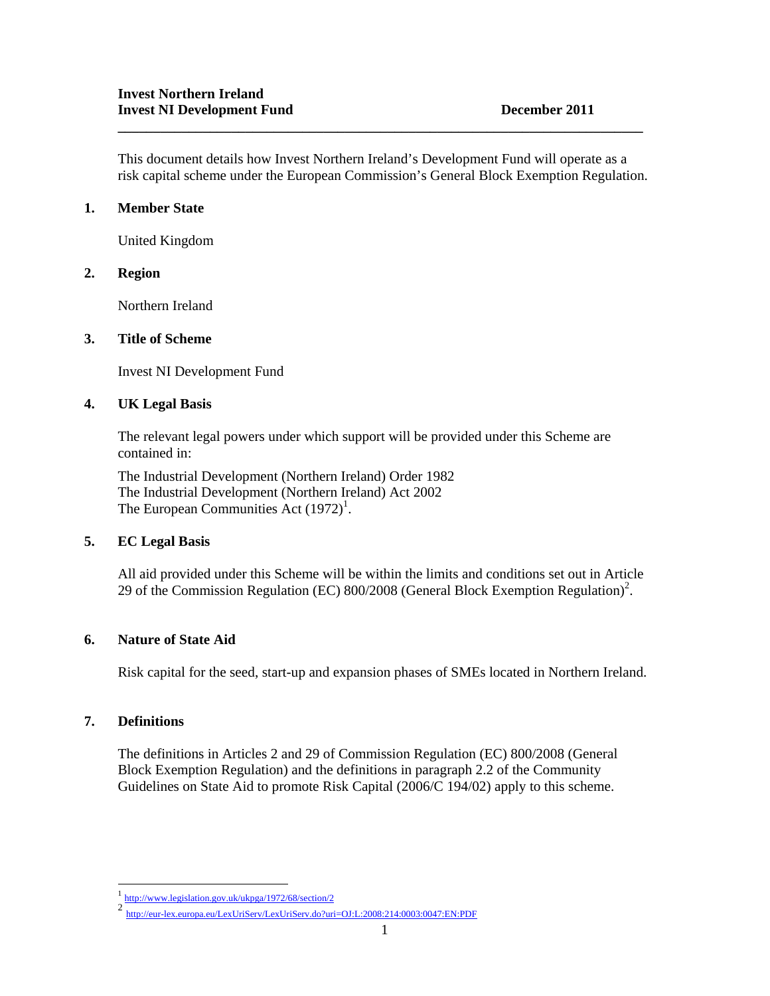This document details how Invest Northern Ireland's Development Fund will operate as a risk capital scheme under the European Commission's General Block Exemption Regulation.

**\_\_\_\_\_\_\_\_\_\_\_\_\_\_\_\_\_\_\_\_\_\_\_\_\_\_\_\_\_\_\_\_\_\_\_\_\_\_\_\_\_\_\_\_\_\_\_\_\_\_\_\_\_\_\_\_\_\_\_\_\_\_\_\_\_\_\_\_\_\_\_\_\_\_** 

# **1. Member State**

United Kingdom

### **2. Region**

Northern Ireland

### **3. Title of Scheme**

Invest NI Development Fund

# **4. UK Legal Basis**

The relevant legal powers under which support will be provided under this Scheme are contained in:

The Industrial Development (Northern Ireland) Order 1982 The Industrial Development (Northern Ireland) Act 2002 The European Communities Act  $(1972)^1$ .

### **5. EC Legal Basis**

All aid provided under this Scheme will be within the limits and conditions set out in Article 29 of the Commission Regulation (EC)  $800/2008$  (General Block Exemption Regulation)<sup>2</sup>.

### **6. Nature of State Aid**

Risk capital for the seed, start-up and expansion phases of SMEs located in Northern Ireland.

### **7. Definitions**

-

The definitions in Articles 2 and 29 of Commission Regulation (EC) 800/2008 (General Block Exemption Regulation) and the definitions in paragraph 2.2 of the Community Guidelines on State Aid to promote Risk Capital (2006/C 194/02) apply to this scheme.

<sup>1</sup> http://www.legislation.gov.uk/ukpga/1972/68/section/2

<sup>2</sup> http://eur-lex.europa.eu/LexUriServ/LexUriServ.do?uri=OJ:L:2008:214:0003:0047:EN:PDF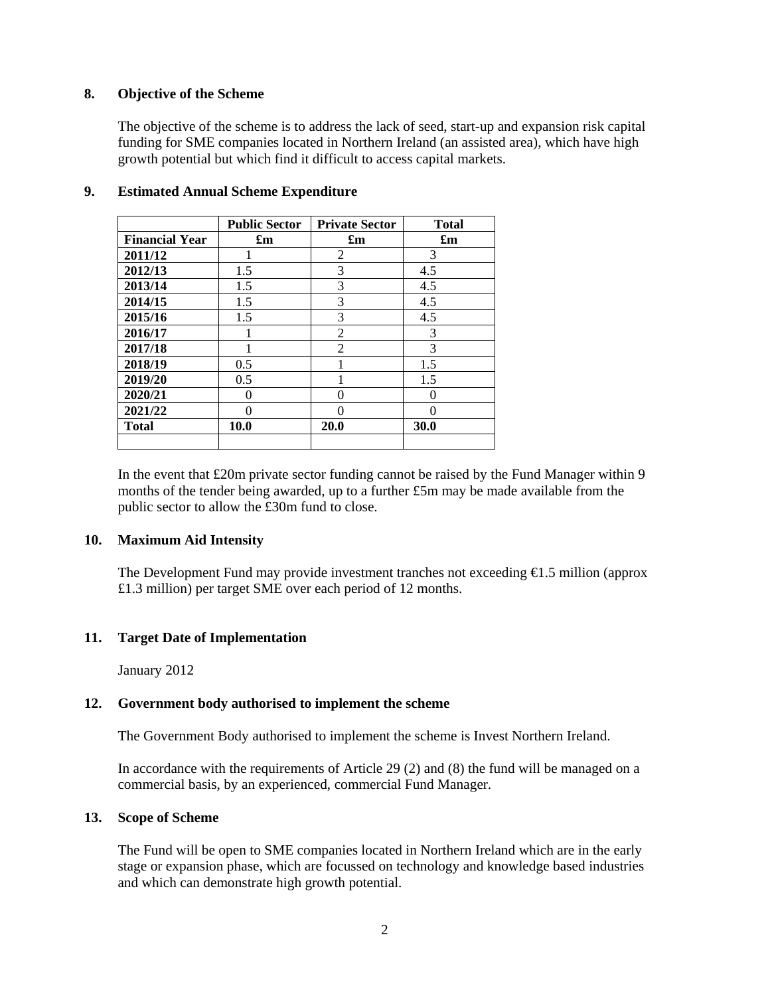# **8. Objective of the Scheme**

 The objective of the scheme is to address the lack of seed, start-up and expansion risk capital funding for SME companies located in Northern Ireland (an assisted area), which have high growth potential but which find it difficult to access capital markets.

|                       | <b>Public Sector</b>      | <b>Private Sector</b>     | <b>Total</b>              |
|-----------------------|---------------------------|---------------------------|---------------------------|
| <b>Financial Year</b> | $\mathbf{f}_{\mathbf{m}}$ | $\mathbf{f}_{\mathbf{m}}$ | $\mathbf{f}_{\mathbf{m}}$ |
| 2011/12               |                           | $\overline{c}$            | 3                         |
| 2012/13               | 1.5                       | 3                         | 4.5                       |
| 2013/14               | 1.5                       | 3                         | 4.5                       |
| 2014/15               | 1.5                       | 3                         | 4.5                       |
| 2015/16               | 1.5                       | 3                         | 4.5                       |
| 2016/17               |                           | $\overline{2}$            | 3                         |
| 2017/18               |                           | $\overline{2}$            | 3                         |
| 2018/19               | 0.5                       |                           | 1.5                       |
| 2019/20               | 0.5                       |                           | 1.5                       |
| 2020/21               | 0                         | 0                         |                           |
| 2021/22               |                           | 0                         |                           |
| Total                 | 10.0                      | 20.0                      | 30.0                      |
|                       |                           |                           |                           |

### **9. Estimated Annual Scheme Expenditure**

In the event that £20m private sector funding cannot be raised by the Fund Manager within 9 months of the tender being awarded, up to a further £5m may be made available from the public sector to allow the £30m fund to close.

### **10. Maximum Aid Intensity**

The Development Fund may provide investment tranches not exceeding €1.5 million (approx £1.3 million) per target SME over each period of 12 months.

### **11. Target Date of Implementation**

January 2012

### **12. Government body authorised to implement the scheme**

The Government Body authorised to implement the scheme is Invest Northern Ireland.

In accordance with the requirements of Article 29 (2) and (8) the fund will be managed on a commercial basis, by an experienced, commercial Fund Manager.

#### **13. Scope of Scheme**

The Fund will be open to SME companies located in Northern Ireland which are in the early stage or expansion phase, which are focussed on technology and knowledge based industries and which can demonstrate high growth potential.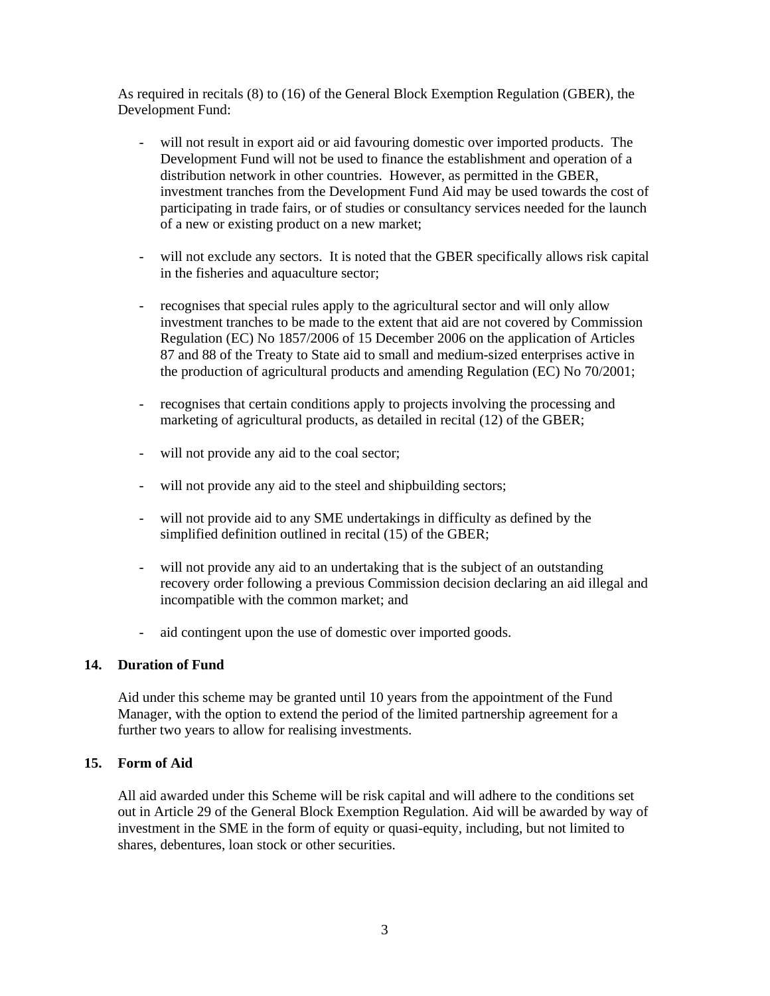As required in recitals (8) to (16) of the General Block Exemption Regulation (GBER), the Development Fund:

- will not result in export aid or aid favouring domestic over imported products. The Development Fund will not be used to finance the establishment and operation of a distribution network in other countries. However, as permitted in the GBER, investment tranches from the Development Fund Aid may be used towards the cost of participating in trade fairs, or of studies or consultancy services needed for the launch of a new or existing product on a new market;
- will not exclude any sectors. It is noted that the GBER specifically allows risk capital in the fisheries and aquaculture sector;
- recognises that special rules apply to the agricultural sector and will only allow investment tranches to be made to the extent that aid are not covered by Commission Regulation (EC) No 1857/2006 of 15 December 2006 on the application of Articles 87 and 88 of the Treaty to State aid to small and medium-sized enterprises active in the production of agricultural products and amending Regulation (EC) No 70/2001;
- recognises that certain conditions apply to projects involving the processing and marketing of agricultural products, as detailed in recital (12) of the GBER;
- will not provide any aid to the coal sector;
- will not provide any aid to the steel and shipbuilding sectors;
- will not provide aid to any SME undertakings in difficulty as defined by the simplified definition outlined in recital (15) of the GBER;
- will not provide any aid to an undertaking that is the subject of an outstanding recovery order following a previous Commission decision declaring an aid illegal and incompatible with the common market; and
- aid contingent upon the use of domestic over imported goods.

### **14. Duration of Fund**

Aid under this scheme may be granted until 10 years from the appointment of the Fund Manager, with the option to extend the period of the limited partnership agreement for a further two years to allow for realising investments.

### **15. Form of Aid**

All aid awarded under this Scheme will be risk capital and will adhere to the conditions set out in Article 29 of the General Block Exemption Regulation. Aid will be awarded by way of investment in the SME in the form of equity or quasi-equity, including, but not limited to shares, debentures, loan stock or other securities.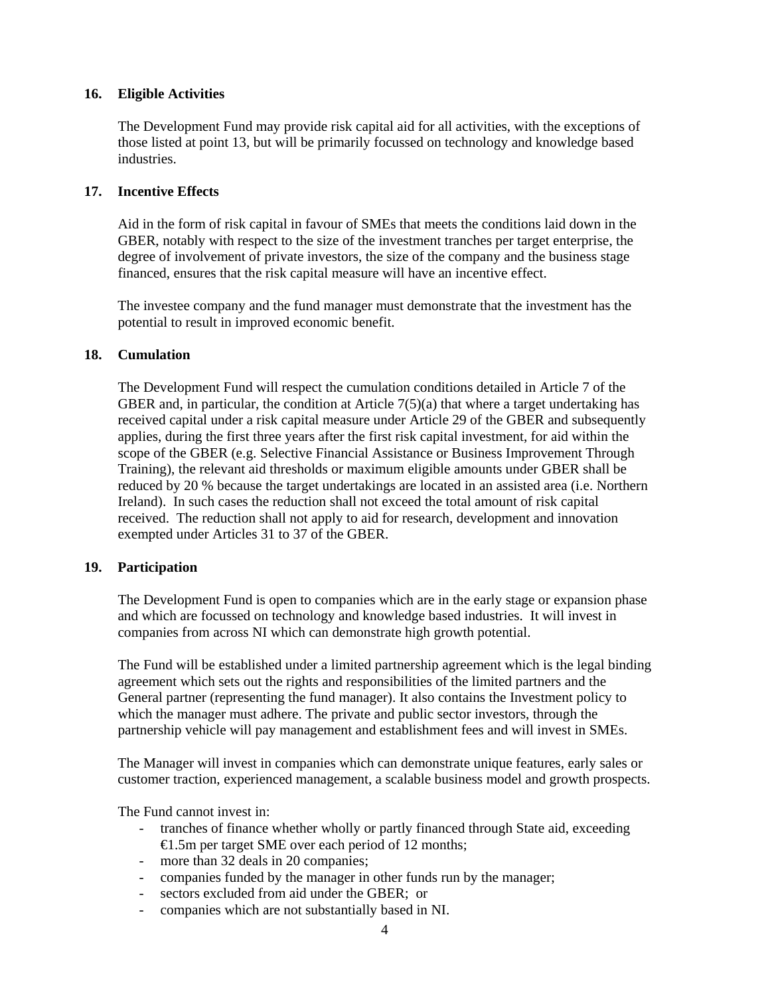# **16. Eligible Activities**

 The Development Fund may provide risk capital aid for all activities, with the exceptions of those listed at point 13, but will be primarily focussed on technology and knowledge based industries.

# **17. Incentive Effects**

Aid in the form of risk capital in favour of SMEs that meets the conditions laid down in the GBER, notably with respect to the size of the investment tranches per target enterprise, the degree of involvement of private investors, the size of the company and the business stage financed, ensures that the risk capital measure will have an incentive effect.

 The investee company and the fund manager must demonstrate that the investment has the potential to result in improved economic benefit.

### **18. Cumulation**

The Development Fund will respect the cumulation conditions detailed in Article 7 of the GBER and, in particular, the condition at Article  $7(5)(a)$  that where a target undertaking has received capital under a risk capital measure under Article 29 of the GBER and subsequently applies, during the first three years after the first risk capital investment, for aid within the scope of the GBER (e.g. Selective Financial Assistance or Business Improvement Through Training), the relevant aid thresholds or maximum eligible amounts under GBER shall be reduced by 20 % because the target undertakings are located in an assisted area (i.e. Northern Ireland). In such cases the reduction shall not exceed the total amount of risk capital received. The reduction shall not apply to aid for research, development and innovation exempted under Articles 31 to 37 of the GBER.

### **19. Participation**

The Development Fund is open to companies which are in the early stage or expansion phase and which are focussed on technology and knowledge based industries. It will invest in companies from across NI which can demonstrate high growth potential.

 The Fund will be established under a limited partnership agreement which is the legal binding agreement which sets out the rights and responsibilities of the limited partners and the General partner (representing the fund manager). It also contains the Investment policy to which the manager must adhere. The private and public sector investors, through the partnership vehicle will pay management and establishment fees and will invest in SMEs.

 The Manager will invest in companies which can demonstrate unique features, early sales or customer traction, experienced management, a scalable business model and growth prospects.

The Fund cannot invest in:

- tranches of finance whether wholly or partly financed through State aid, exceeding €1.5m per target SME over each period of 12 months;
- more than 32 deals in 20 companies;
- companies funded by the manager in other funds run by the manager;
- sectors excluded from aid under the GBER; or
- companies which are not substantially based in NI.